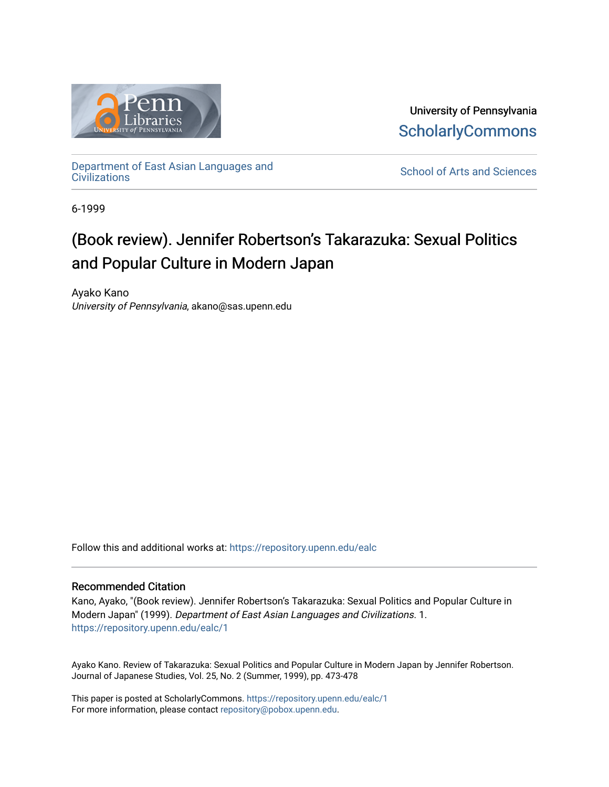

University of Pennsylvania **ScholarlyCommons** 

[Department of East Asian Languages and](https://repository.upenn.edu/ealc) 

School of Arts and Sciences

6-1999

# (Book review). Jennifer Robertson's Takarazuka: Sexual Politics and Popular Culture in Modern Japan

Ayako Kano University of Pennsylvania, akano@sas.upenn.edu

Follow this and additional works at: [https://repository.upenn.edu/ealc](https://repository.upenn.edu/ealc?utm_source=repository.upenn.edu%2Fealc%2F1&utm_medium=PDF&utm_campaign=PDFCoverPages) 

#### Recommended Citation

Kano, Ayako, "(Book review). Jennifer Robertson's Takarazuka: Sexual Politics and Popular Culture in Modern Japan" (1999). Department of East Asian Languages and Civilizations. 1. [https://repository.upenn.edu/ealc/1](https://repository.upenn.edu/ealc/1?utm_source=repository.upenn.edu%2Fealc%2F1&utm_medium=PDF&utm_campaign=PDFCoverPages) 

Ayako Kano. Review of Takarazuka: Sexual Politics and Popular Culture in Modern Japan by Jennifer Robertson. Journal of Japanese Studies, Vol. 25, No. 2 (Summer, 1999), pp. 473-478

This paper is posted at ScholarlyCommons.<https://repository.upenn.edu/ealc/1> For more information, please contact [repository@pobox.upenn.edu.](mailto:repository@pobox.upenn.edu)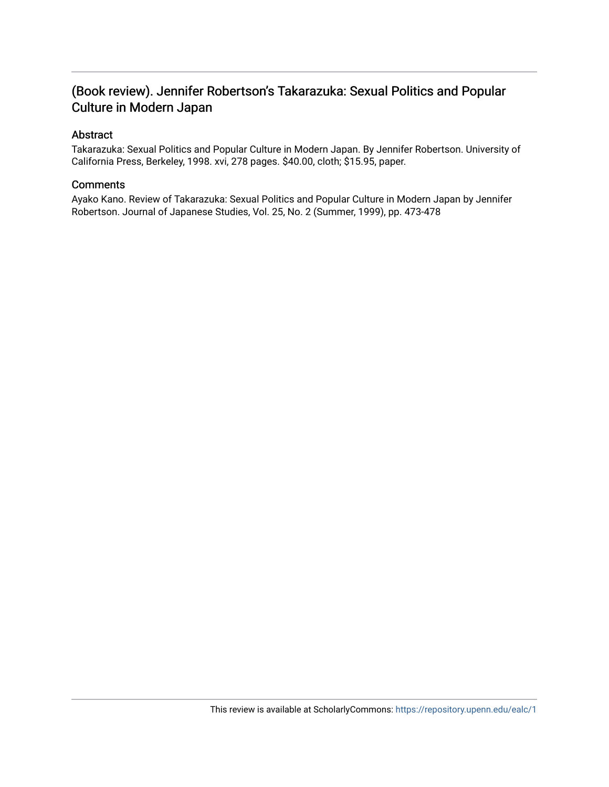## (Book review). Jennifer Robertson's Takarazuka: Sexual Politics and Popular Culture in Modern Japan

#### Abstract

Takarazuka: Sexual Politics and Popular Culture in Modern Japan. By Jennifer Robertson. University of California Press, Berkeley, 1998. xvi, 278 pages. \$40.00, cloth; \$15.95, paper.

#### **Comments**

Ayako Kano. Review of Takarazuka: Sexual Politics and Popular Culture in Modern Japan by Jennifer Robertson. Journal of Japanese Studies, Vol. 25, No. 2 (Summer, 1999), pp. 473-478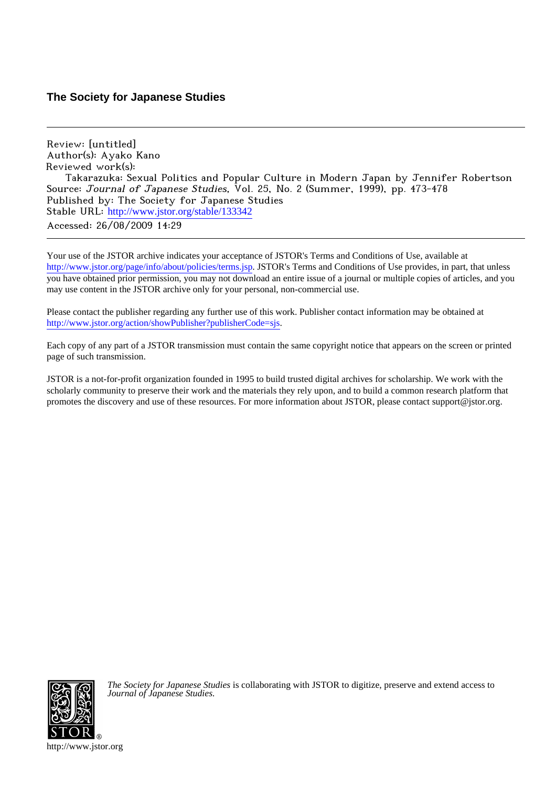### **The Society for Japanese Studies**

Review: [untitled] Author(s): Ayako Kano Reviewed work(s): Takarazuka: Sexual Politics and Popular Culture in Modern Japan by Jennifer Robertson Source: Journal of Japanese Studies, Vol. 25, No. 2 (Summer, 1999), pp. 473-478 Published by: The Society for Japanese Studies Stable URL: [http://www.jstor.org/stable/133342](http://www.jstor.org/stable/133342?origin=JSTOR-pdf) Accessed: 26/08/2009 14:29

Your use of the JSTOR archive indicates your acceptance of JSTOR's Terms and Conditions of Use, available at <http://www.jstor.org/page/info/about/policies/terms.jsp>. JSTOR's Terms and Conditions of Use provides, in part, that unless you have obtained prior permission, you may not download an entire issue of a journal or multiple copies of articles, and you may use content in the JSTOR archive only for your personal, non-commercial use.

Please contact the publisher regarding any further use of this work. Publisher contact information may be obtained at [http://www.jstor.org/action/showPublisher?publisherCode=sjs.](http://www.jstor.org/action/showPublisher?publisherCode=sjs)

Each copy of any part of a JSTOR transmission must contain the same copyright notice that appears on the screen or printed page of such transmission.

JSTOR is a not-for-profit organization founded in 1995 to build trusted digital archives for scholarship. We work with the scholarly community to preserve their work and the materials they rely upon, and to build a common research platform that promotes the discovery and use of these resources. For more information about JSTOR, please contact support@jstor.org.



*The Society for Japanese Studies* is collaborating with JSTOR to digitize, preserve and extend access to *Journal of Japanese Studies.*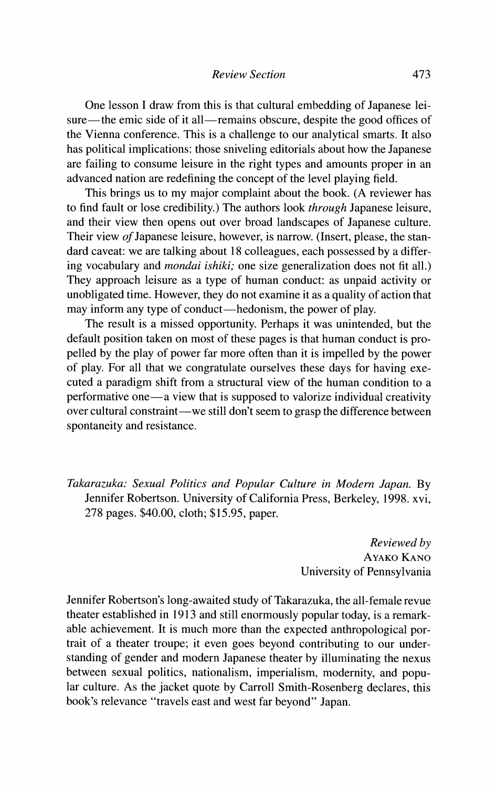**One lesson I draw from this is that cultural embedding of Japanese lei**sure—the emic side of it all—remains obscure, despite the good offices of **the Vienna conference. This is a challenge to our analytical smarts. It also has political implications: those sniveling editorials about how the Japanese are failing to consume leisure in the right types and amounts proper in an advanced nation are redefining the concept of the level playing field.** 

**This brings us to my major complaint about the book. (A reviewer has to find fault or lose credibility.) The authors look through Japanese leisure, and their view then opens out over broad landscapes of Japanese culture. Their view of Japanese leisure, however, is narrow. (Insert, please, the standard caveat: we are talking about 18 colleagues, each possessed by a differing vocabulary and mondai ishiki; one size generalization does not fit all.) They approach leisure as a type of human conduct: as unpaid activity or unobligated time. However, they do not examine it as a quality of action that**  may inform any type of conduct—hedonism, the power of play.

**The result is a missed opportunity. Perhaps it was unintended, but the default position taken on most of these pages is that human conduct is propelled by the play of power far more often than it is impelled by the power of play. For all that we congratulate ourselves these days for having executed a paradigm shift from a structural view of the human condition to a performative one—a view that is supposed to valorize individual creativity** over cultural constraint—we still don't seem to grasp the difference between **spontaneity and resistance.** 

**Takarazuka: Sexual Politics and Popular Culture in Modern Japan. By Jennifer Robertson. University of California Press, Berkeley, 1998. xvi, 278 pages. \$40.00, cloth; \$15.95, paper.** 

> **Reviewed by AYAKO KANO University of Pennsylvania**

**Jennifer Robertson's long-awaited study of Takarazuka, the all-female revue theater established in 1913 and still enormously popular today, is a remarkable achievement. It is much more than the expected anthropological portrait of a theater troupe; it even goes beyond contributing to our understanding of gender and modern Japanese theater by illuminating the nexus between sexual politics, nationalism, imperialism, modernity, and popular culture. As the jacket quote by Carroll Smith-Rosenberg declares, this book's relevance "travels east and west far beyond" Japan.**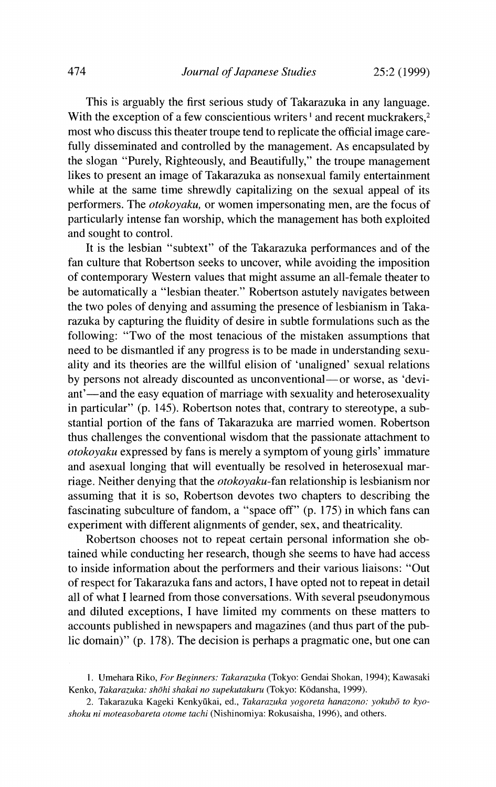**This is arguably the first serious study of Takarazuka in any language.**  With the exception of a few conscientious writers<sup>1</sup> and recent muckrakers,<sup>2</sup> **most who discuss this theater troupe tend to replicate the official image carefully disseminated and controlled by the management. As encapsulated by the slogan "Purely, Righteously, and Beautifully," the troupe management likes to present an image of Takarazuka as nonsexual family entertainment while at the same time shrewdly capitalizing on the sexual appeal of its performers. The otokoyaku, or women impersonating men, are the focus of particularly intense fan worship, which the management has both exploited and sought to control.** 

**It is the lesbian "subtext" of the Takarazuka performances and of the fan culture that Robertson seeks to uncover, while avoiding the imposition of contemporary Western values that might assume an all-female theater to be automatically a "lesbian theater." Robertson astutely navigates between the two poles of denying and assuming the presence of lesbianism in Takarazuka by capturing the fluidity of desire in subtle formulations such as the following: "Two of the most tenacious of the mistaken assumptions that need to be dismantled if any progress is to be made in understanding sexuality and its theories are the willful elision of 'unaligned' sexual relations**  by persons not already discounted as unconventional—or worse, as 'deviant'—and the easy equation of marriage with sexuality and heterosexuality **in particular" (p. 145). Robertson notes that, contrary to stereotype, a substantial portion of the fans of Takarazuka are married women. Robertson thus challenges the conventional wisdom that the passionate attachment to otokoyaku expressed by fans is merely a symptom of young girls' immature and asexual longing that will eventually be resolved in heterosexual marriage. Neither denying that the otokoyaku-fan relationship is lesbianism nor assuming that it is so, Robertson devotes two chapters to describing the fascinating subculture of fandom, a "space off" (p. 175) in which fans can experiment with different alignments of gender, sex, and theatricality.** 

**Robertson chooses not to repeat certain personal information she obtained while conducting her research, though she seems to have had access to inside information about the performers and their various liaisons: "Out of respect for Takarazuka fans and actors, I have opted not to repeat in detail all of what I learned from those conversations. With several pseudonymous and diluted exceptions, I have limited my comments on these matters to accounts published in newspapers and magazines (and thus part of the public domain)" (p. 178). The decision is perhaps a pragmatic one, but one can** 

**<sup>1.</sup> Umehara Riko, For Beginners: Takarazuka (Tokyo: Gendai Shokan, 1994); Kawasaki**  Kenko, Takarazuka: shōhi shakai no supekutakuru (Tokyo: Kōdansha, 1999).

<sup>2.</sup> Takarazuka Kageki Kenkyūkai, ed., Takarazuka yogoreta hanazono: yokubō to kyo**shoku ni moteasobareta otome tachi (Nishinomiya: Rokusaisha, 1996), and others.**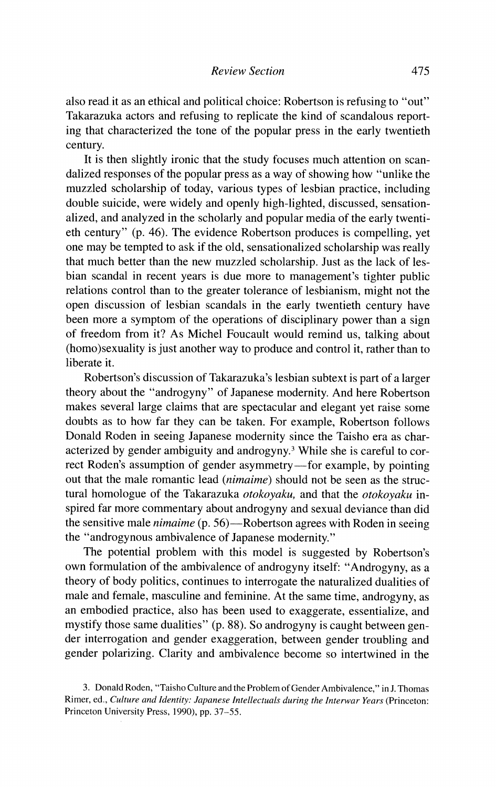**also read it as an ethical and political choice: Robertson is refusing to "out" Takarazuka actors and refusing to replicate the kind of scandalous reporting that characterized the tone of the popular press in the early twentieth century.** 

**It is then slightly ironic that the study focuses much attention on scandalized responses of the popular press as a way of showing how "unlike the muzzled scholarship of today, various types of lesbian practice, including double suicide, were widely and openly high-lighted, discussed, sensationalized, and analyzed in the scholarly and popular media of the early twentieth century" (p. 46). The evidence Robertson produces is compelling, yet one may be tempted to ask if the old, sensationalized scholarship was really that much better than the new muzzled scholarship. Just as the lack of lesbian scandal in recent years is due more to management's tighter public relations control than to the greater tolerance of lesbianism, might not the open discussion of lesbian scandals in the early twentieth century have been more a symptom of the operations of disciplinary power than a sign of freedom from it? As Michel Foucault would remind us, talking about (homo)sexuality is just another way to produce and control it, rather than to liberate it.** 

**Robertson's discussion of Takarazuka's lesbian subtext is part of a larger theory about the "androgyny" of Japanese modernity. And here Robertson makes several large claims that are spectacular and elegant yet raise some doubts as to how far they can be taken. For example, Robertson follows Donald Roden in seeing Japanese modernity since the Taisho era as characterized by gender ambiguity and androgyny.3 While she is careful to cor**rect Roden's assumption of gender asymmetry—for example, by pointing **out that the male romantic lead (nimaime) should not be seen as the structural homologue of the Takarazuka otokoyaku, and that the otokoyaku inspired far more commentary about androgyny and sexual deviance than did the sensitive male nimaime (p. 56)-Robertson agrees with Roden in seeing the "androgynous ambivalence of Japanese modernity."** 

**The potential problem with this model is suggested by Robertson's own formulation of the ambivalence of androgyny itself: "Androgyny, as a theory of body politics, continues to interrogate the naturalized dualities of male and female, masculine and feminine. At the same time, androgyny, as an embodied practice, also has been used to exaggerate, essentialize, and mystify those same dualities" (p. 88). So androgyny is caught between gender interrogation and gender exaggeration, between gender troubling and gender polarizing. Clarity and ambivalence become so intertwined in the** 

**<sup>3.</sup> Donald Roden, "Taisho Culture and the Problem of Gender Ambivalence," in J. Thomas Rimer, ed., Culture and Identity: Japanese Intellectuals during the Interwar Years (Princeton: Princeton University Press, 1990), pp. 37-55.**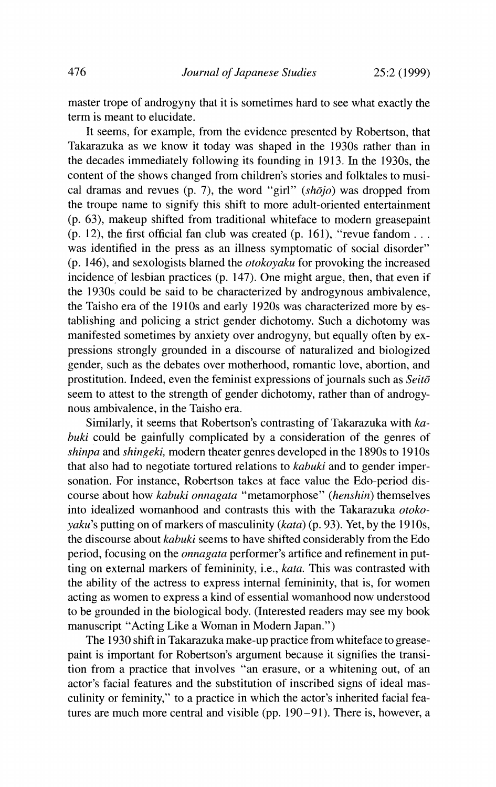**master trope of androgyny that it is sometimes hard to see what exactly the term is meant to elucidate.** 

**It seems, for example, from the evidence presented by Robertson, that Takarazuka as we know it today was shaped in the 1930s rather than in the decades immediately following its founding in 1913. In the 1930s, the content of the shows changed from children's stories and folktales to musi**cal dramas and revues  $(p, 7)$ , the word "girl"  $(sh \bar{o} j o)$  was dropped from **the troupe name to signify this shift to more adult-oriented entertainment (p. 63), makeup shifted from traditional whiteface to modern greasepaint (p. 12), the first official fan club was created (p. 161), "revue fandom ... was identified in the press as an illness symptomatic of social disorder" (p. 146), and sexologists blamed the otokoyaku for provoking the increased incidence of lesbian practices (p. 147). One might argue, then, that even if the 1930s could be said to be characterized by androgynous ambivalence, the Taisho era of the 1910s and early 1920s was characterized more by establishing and policing a strict gender dichotomy. Such a dichotomy was manifested sometimes by anxiety over androgyny, but equally often by expressions strongly grounded in a discourse of naturalized and biologized gender, such as the debates over motherhood, romantic love, abortion, and prostitution. Indeed, even the feminist expressions of journals such as Seito seem to attest to the strength of gender dichotomy, rather than of androgynous ambivalence, in the Taisho era.** 

**Similarly, it seems that Robertson's contrasting of Takarazuka with kabuki could be gainfully complicated by a consideration of the genres of**  shinpa and shingeki, modern theater genres developed in the 1890s to 1910s **that also had to negotiate tortured relations to kabuki and to gender impersonation. For instance, Robertson takes at face value the Edo-period discourse about how kabuki onnagata "metamorphose" (henshin) themselves into idealized womanhood and contrasts this with the Takarazuka otokoyaku's putting on of markers of masculinity (kata) (p. 93). Yet, by the 1910s, the discourse about kabuki seems to have shifted considerably from the Edo period, focusing on the onnagata performer's artifice and refinement in putting on external markers of femininity, i.e., kata. This was contrasted with the ability of the actress to express internal femininity, that is, for women acting as women to express a kind of essential womanhood now understood to be grounded in the biological body. (Interested readers may see my book manuscript "Acting Like a Woman in Modern Japan.")** 

**The 1930 shift in Takarazuka make-up practice from whiteface to greasepaint is important for Robertson's argument because it signifies the transition from a practice that involves "an erasure, or a whitening out, of an actor's facial features and the substitution of inscribed signs of ideal masculinity or feminity," to a practice in which the actor's inherited facial features are much more central and visible (pp. 190-91). There is, however, a**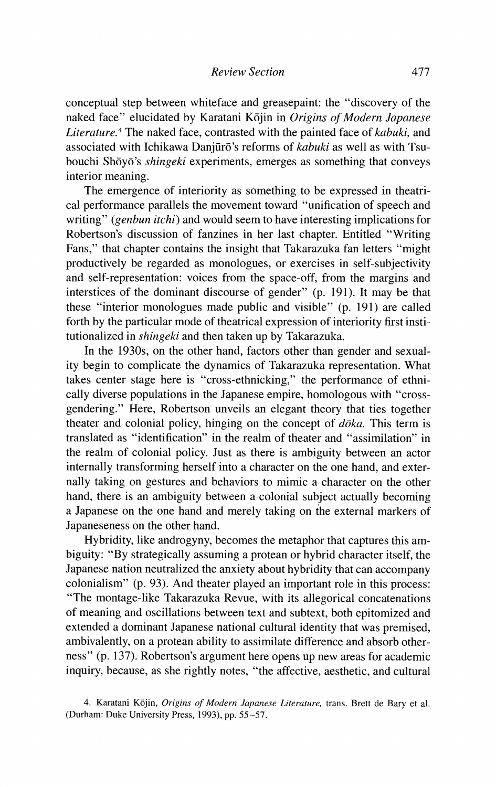**conceptual step between whiteface and greasepaint: the "discovery of the**  naked face" elucidated by Karatani Kōjin in *Origins of Modern Japanese* **Literature.4 The naked face, contrasted with the painted face of kabuki, and**  associated with Ichikawa Danjūrō's reforms of kabuki as well as with Tsubouchi Shōyō's *shingeki* experiments, emerges as something that conveys **interior meaning.** 

**The emergence of interiority as something to be expressed in theatrical performance parallels the movement toward "unification of speech and writing" (genbun itchi) and would seem to have interesting implications for Robertson's discussion of fanzines in her last chapter. Entitled "Writing Fans," that chapter contains the insight that Takarazuka fan letters "might productively be regarded as monologues, or exercises in self-subjectivity and self-representation: voices from the space-off, from the margins and interstices of the dominant discourse of gender" (p. 191). It may be that these "interior monologues made public and visible" (p. 191) are called forth by the particular mode of theatrical expression of interiority first institutionalized in shingeki and then taken up by Takarazuka.** 

**In the 1930s, on the other hand, factors other than gender and sexuality begin to complicate the dynamics of Takarazuka representation. What takes center stage here is "cross-ethnicking," the performance of ethnically diverse populations in the Japanese empire, homologous with "crossgendering." Here, Robertson unveils an elegant theory that ties together**  theater and colonial policy, hinging on the concept of  $d\bar{\sigma}ka$ . This term is **translated as "identification" in the realm of theater and "assimilation" in the realm of colonial policy. Just as there is ambiguity between an actor internally transforming herself into a character on the one hand, and externally taking on gestures and behaviors to mimic a character on the other hand, there is an ambiguity between a colonial subject actually becoming a Japanese on the one hand and merely taking on the external markers of Japaneseness on the other hand.** 

**Hybridity, like androgyny, becomes the metaphor that captures this ambiguity: "By strategically assuming a protean or hybrid character itself, the Japanese nation neutralized the anxiety about hybridity that can accompany colonialism" (p. 93). And theater played an important role in this process: "The montage-like Takarazuka Revue, with its allegorical concatenations of meaning and oscillations between text and subtext, both epitomized and extended a dominant Japanese national cultural identity that was premised, ambivalently, on a protean ability to assimilate difference and absorb otherness" (p. 137). Robertson's argument here opens up new areas for academic inquiry, because, as she rightly notes, "the affective, aesthetic, and cultural** 

**4. Karatani K6jin, Origins of Modern Japanese Literature, trans. Brett de Bary et al. (Durham: Duke University Press, 1993), pp. 55-57.**